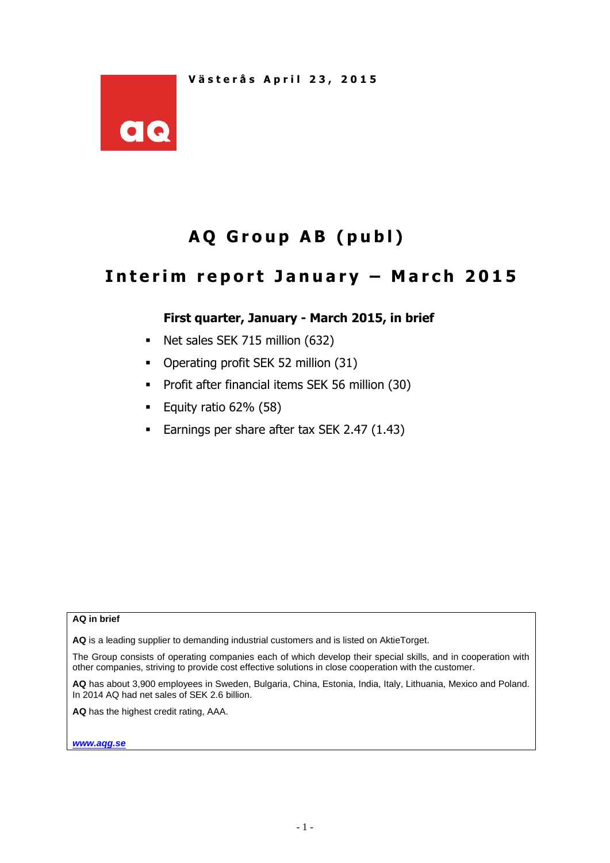

# **A Q G r o u p A B ( p u b l )**

## **I n t e r i m r e p o r t J a n u a r y – M a r c h 201 5**

## **First quarter, January - March 2015, in brief**

- Net sales SEK 715 million (632)
- Operating profit SEK 52 million (31)
- **Profit after financial items SEK 56 million (30)**
- Equity ratio  $62\%$  (58)
- Earnings per share after tax SEK 2.47 (1.43)

#### **AQ in brief**

**AQ** is a leading supplier to demanding industrial customers and is listed on AktieTorget.

The Group consists of operating companies each of which develop their special skills, and in cooperation with other companies, striving to provide cost effective solutions in close cooperation with the customer.

**AQ** has about 3,900 employees in Sweden, Bulgaria, China, Estonia, India, Italy, Lithuania, Mexico and Poland. In 2014 AQ had net sales of SEK 2.6 billion.

**AQ** has the highest credit rating, AAA.

#### *[www.aqg.se](http://www.aqg.se/)*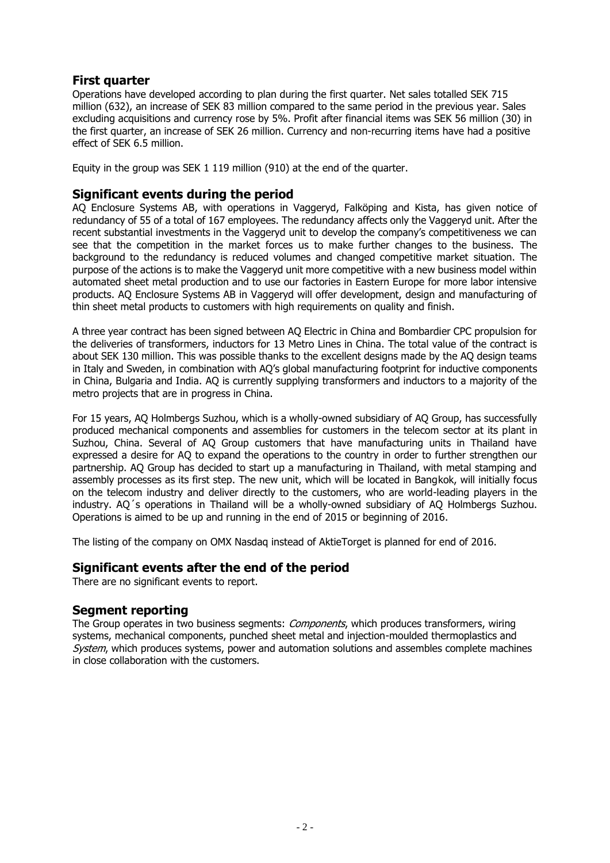## **First quarter**

Operations have developed according to plan during the first quarter. Net sales totalled SEK 715 million (632), an increase of SEK 83 million compared to the same period in the previous year. Sales excluding acquisitions and currency rose by 5%. Profit after financial items was SEK 56 million (30) in the first quarter, an increase of SEK 26 million. Currency and non-recurring items have had a positive effect of SEK 6.5 million.

Equity in the group was SEK 1 119 million (910) at the end of the quarter.

#### **Significant events during the period**

AQ Enclosure Systems AB, with operations in Vaggeryd, Falköping and Kista, has given notice of redundancy of 55 of a total of 167 employees. The redundancy affects only the Vaggeryd unit. After the recent substantial investments in the Vaggeryd unit to develop the company's competitiveness we can see that the competition in the market forces us to make further changes to the business. The background to the redundancy is reduced volumes and changed competitive market situation. The purpose of the actions is to make the Vaggeryd unit more competitive with a new business model within automated sheet metal production and to use our factories in Eastern Europe for more labor intensive products. AQ Enclosure Systems AB in Vaggeryd will offer development, design and manufacturing of thin sheet metal products to customers with high requirements on quality and finish.

A three year contract has been signed between AQ Electric in China and Bombardier CPC propulsion for the deliveries of transformers, inductors for 13 Metro Lines in China. The total value of the contract is about SEK 130 million. This was possible thanks to the excellent designs made by the AQ design teams in Italy and Sweden, in combination with AQ's global manufacturing footprint for inductive components in China, Bulgaria and India. AQ is currently supplying transformers and inductors to a majority of the metro projects that are in progress in China.

For 15 years, AQ Holmbergs Suzhou, which is a wholly-owned subsidiary of AQ Group, has successfully produced mechanical components and assemblies for customers in the telecom sector at its plant in Suzhou, China. Several of AQ Group customers that have manufacturing units in Thailand have expressed a desire for AQ to expand the operations to the country in order to further strengthen our partnership. AQ Group has decided to start up a manufacturing in Thailand, with metal stamping and assembly processes as its first step. The new unit, which will be located in Bangkok, will initially focus on the telecom industry and deliver directly to the customers, who are world-leading players in the industry. AQ´s operations in Thailand will be a wholly-owned subsidiary of AQ Holmbergs Suzhou. Operations is aimed to be up and running in the end of 2015 or beginning of 2016.

The listing of the company on OMX Nasdaq instead of AktieTorget is planned for end of 2016.

### **Significant events after the end of the period**

There are no significant events to report.

#### **Segment reporting**

The Group operates in two business segments: *Components*, which produces transformers, wiring systems, mechanical components, punched sheet metal and injection-moulded thermoplastics and System, which produces systems, power and automation solutions and assembles complete machines in close collaboration with the customers.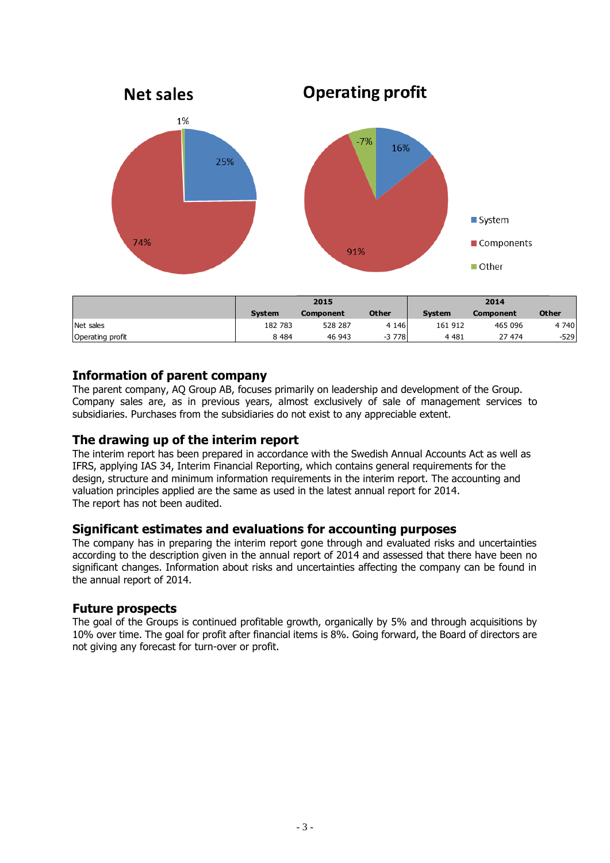

|                  |               | 2015      |              | 2014          |           |              |  |
|------------------|---------------|-----------|--------------|---------------|-----------|--------------|--|
|                  | <b>System</b> | Component | <b>Other</b> | <b>System</b> | Component | <b>Other</b> |  |
| Net sales        | 182 783       | 528 287   | 4 1 4 6 1    | 161 912       | 465 096   | 4 740        |  |
| Operating profit | 8 4 8 4       | 46 943    | $-3778$      | 4 4 8 1       | 27 474    | -529         |  |

### **Information of parent company**

The parent company, AQ Group AB, focuses primarily on leadership and development of the Group. Company sales are, as in previous years, almost exclusively of sale of management services to subsidiaries. Purchases from the subsidiaries do not exist to any appreciable extent.

#### **The drawing up of the interim report**

The interim report has been prepared in accordance with the Swedish Annual Accounts Act as well as IFRS, applying IAS 34, Interim Financial Reporting, which contains general requirements for the design, structure and minimum information requirements in the interim report. The accounting and valuation principles applied are the same as used in the latest annual report for 2014. The report has not been audited.

#### **Significant estimates and evaluations for accounting purposes**

The company has in preparing the interim report gone through and evaluated risks and uncertainties according to the description given in the annual report of 2014 and assessed that there have been no significant changes. Information about risks and uncertainties affecting the company can be found in the annual report of 2014.

#### **Future prospects**

The goal of the Groups is continued profitable growth, organically by 5% and through acquisitions by 10% over time. The goal for profit after financial items is 8%. Going forward, the Board of directors are not giving any forecast for turn-over or profit.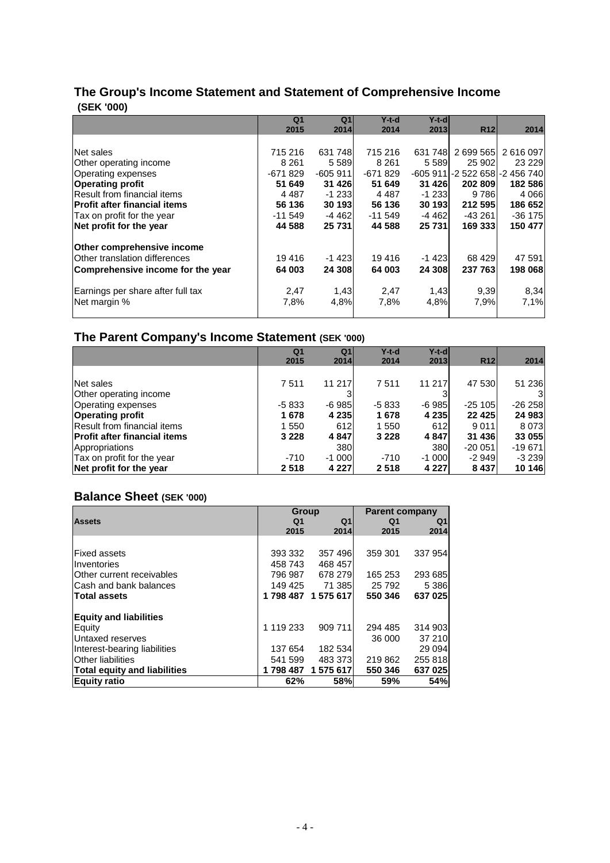## **The Group's Income Statement and Statement of Comprehensive Income (SEK '000)**

| Q <sub>1</sub> | Q <sub>1</sub> | $Y-t-d$      |      |                                                                                                                                                                                                                                                                                                    |
|----------------|----------------|--------------|------|----------------------------------------------------------------------------------------------------------------------------------------------------------------------------------------------------------------------------------------------------------------------------------------------------|
| 2015           | 2014           | 2014         |      | 2014                                                                                                                                                                                                                                                                                               |
|                |                |              |      |                                                                                                                                                                                                                                                                                                    |
| 715 216        | 631 748        | 715 216      |      | 2616097                                                                                                                                                                                                                                                                                            |
| 8 2 6 1        | 5 5 8 9        | 8 2 6 1      |      | 23 2 29                                                                                                                                                                                                                                                                                            |
| $-671829$      | -605 911       | $-671829$    |      |                                                                                                                                                                                                                                                                                                    |
| 51 649         | 31 4 26        | 51 649       |      | 182 586                                                                                                                                                                                                                                                                                            |
| 4 4 8 7        | -1 2331        | 4 4 8 7      |      | 4 0 6 6                                                                                                                                                                                                                                                                                            |
| 56 136         | 30 193         | 56 136       |      | 186 652                                                                                                                                                                                                                                                                                            |
| $-11549$       | -4 462         | $-11.549$    |      | $-36$ 175                                                                                                                                                                                                                                                                                          |
| 44 588         | 25 731         | 44 588       |      | 150 477                                                                                                                                                                                                                                                                                            |
|                |                |              |      |                                                                                                                                                                                                                                                                                                    |
| 19416          | -1 423         | 19 416       |      | 47 591                                                                                                                                                                                                                                                                                             |
| 64 003         | 24 308         | 64 003       |      | 198 068                                                                                                                                                                                                                                                                                            |
| 2,47<br>7,8%   | 4,8%           | 2,47<br>7,8% |      | 8,34<br>7,1%                                                                                                                                                                                                                                                                                       |
|                |                |              | 1,43 | $Y-t-d$<br><b>R12</b><br>2013<br>631 748<br>2 699 565<br>25 902<br>5 5 8 9<br>-605 911 - 2 522 658 - 2 456 740<br>31 4 26<br>202 809<br>-1 2331<br>9786<br>212 595<br>30 193<br>$-43261$<br>$-4462$<br>25 731<br>169 333<br>-1 4231<br>68 429<br>24 308<br>237 763<br>1,43<br>9,39<br>7,9%<br>4,8% |

## **The Parent Company's Income Statement (SEK '000)**

|                                     | Q <sub>1</sub> | Q <sub>1</sub> | $Y-t-d$ | $Y-t-d$ |            |          |
|-------------------------------------|----------------|----------------|---------|---------|------------|----------|
|                                     | 2015           | 2014           | 2014    | 2013    | <b>R12</b> | 2014     |
|                                     |                |                |         |         |            |          |
| Net sales                           | 7511           | 11 217         | 7511    | 11 217  | 47 530     | 51 236   |
| Other operating income              |                |                |         |         |            | 31       |
| Operating expenses                  | -5 833         | -6 985         | $-5833$ | -6 985  | $-25105$   | $-26258$ |
| <b>Operating profit</b>             | 1678           | 4 2 3 5        | 1678    | 4 2 3 5 | 22 4 25    | 24 983   |
| Result from financial items         | 1 550          | 612            | 1 550   | 612     | 9 0 1 1    | 8 0 7 3  |
| <b>Profit after financial items</b> | 3 2 2 8        | 4 847          | 3 2 2 8 | 4847    | 31 436     | 33 055   |
| Appropriations                      |                | 380            |         | 380     | $-20051$   | $-19671$ |
| Tax on profit for the year          | $-710$         | -1 000         | $-710$  | $-1000$ | $-2949$    | $-3239$  |
| Net profit for the year             | 2518           | 4 2 2 7        | 2518    | 4 2 2 7 | 8 4 3 7    | 10 146   |

## **Balance Sheet (SEK '000)**

|                                     | Group     |                   | <b>Parent company</b> |         |  |
|-------------------------------------|-----------|-------------------|-----------------------|---------|--|
| <b>Assets</b>                       | Q1        | Q <sub>1</sub>    | Q <sub>1</sub>        | Q1      |  |
|                                     | 2015      | 2014              | 2015                  | 2014    |  |
|                                     |           |                   |                       |         |  |
| <b>Fixed assets</b>                 | 393 332   | 357 496           | 359 301               | 337 954 |  |
| Inventories                         | 458 743   | 468 457           |                       |         |  |
| Other current receivables           | 796 987   | 678 279           | 165 253               | 293 685 |  |
| Cash and bank balances              | 149 425   | 71 385            | 25 792                | 5 3 8 6 |  |
| <b>Total assets</b>                 | 1 798 487 | 1 575 617         | 550 346               | 637 025 |  |
| <b>Equity and liabilities</b>       |           |                   |                       |         |  |
| Equity                              | 1 119 233 | 909 711           | 294 485               | 314 903 |  |
| Untaxed reserves                    |           |                   | 36 000                | 37 210  |  |
| Interest-bearing liabilities        | 137 654   | 182 534           |                       | 29 0 94 |  |
| <b>Other liabilities</b>            | 541 599   | 483 373           | 219 862               | 255 818 |  |
| <b>Total equity and liabilities</b> |           | 1798 487 1575 617 | 550 346               | 637 025 |  |
| <b>Equity ratio</b>                 | 62%       | 58%               | 59%                   | 54%     |  |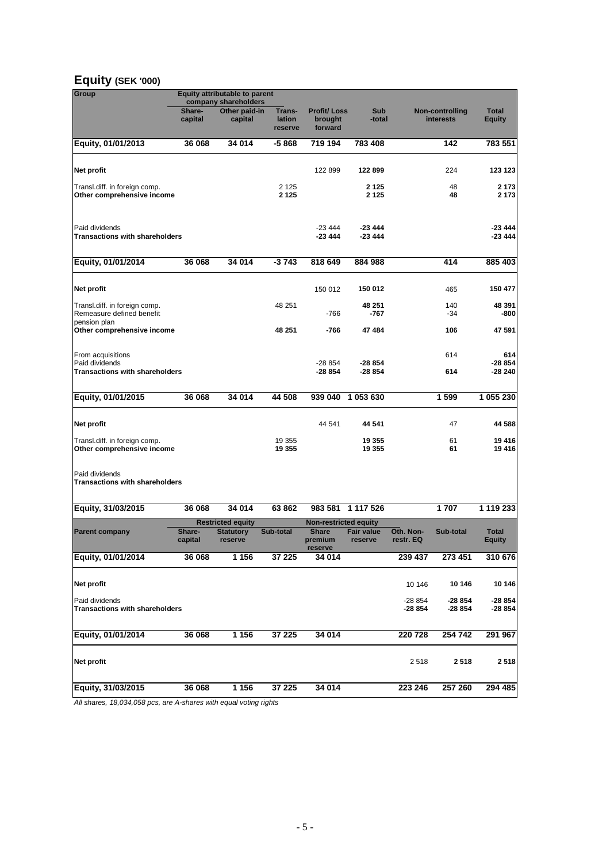## **Equity (SEK '000)**

| Group                                                                        | <b>Equity attributable to parent</b><br>company shareholders |                                                         |                             |                                                         |                              |                        |                              |                               |
|------------------------------------------------------------------------------|--------------------------------------------------------------|---------------------------------------------------------|-----------------------------|---------------------------------------------------------|------------------------------|------------------------|------------------------------|-------------------------------|
|                                                                              | Share-<br>capital                                            | Other paid-in<br>capital                                | Trans-<br>lation<br>reserve | <b>Profit/Loss</b><br>brought<br>forward                | Sub<br>-total                |                        | Non-controlling<br>interests | <b>Total</b><br><b>Equity</b> |
| Equity, 01/01/2013                                                           | 36 068                                                       | 34 014                                                  | -5 868                      | 719 194                                                 | 783 408                      |                        | 142                          | 783 551                       |
| Net profit                                                                   |                                                              |                                                         |                             | 122 899                                                 | 122 899                      |                        | 224                          | 123 123                       |
| Transl.diff. in foreign comp.<br>Other comprehensive income                  |                                                              |                                                         | 2 1 2 5<br>2 1 2 5          |                                                         | 2 1 2 5<br>2 1 2 5           |                        | 48<br>48                     | 2 1 7 3<br>2 1 7 3            |
|                                                                              |                                                              |                                                         |                             |                                                         |                              |                        |                              |                               |
| Paid dividends<br><b>Transactions with shareholders</b>                      |                                                              |                                                         |                             | $-23444$<br>$-23444$                                    | -23 444<br>$-23444$          |                        |                              | -23 444<br>-23 444            |
| Equity, 01/01/2014                                                           | 36 068                                                       | 34 014                                                  | $-3743$                     | 818 649                                                 | 884 988                      |                        | 414                          | 885 403                       |
| Net profit                                                                   |                                                              |                                                         |                             | 150 012                                                 | 150 012                      |                        | 465                          | 150 477                       |
| Transl.diff. in foreign comp.<br>Remeasure defined benefit                   |                                                              |                                                         | 48 251                      | $-766$                                                  | 48 251<br>-767               |                        | 140<br>$-34$                 | 48 391<br>-800                |
| pension plan<br>Other comprehensive income                                   |                                                              |                                                         | 48 251                      | -766                                                    | 47 484                       |                        | 106                          | 47 591                        |
| From acquisitions<br>Paid dividends<br><b>Transactions with shareholders</b> |                                                              |                                                         |                             | $-28854$<br>$-28854$                                    | $-28854$<br>-28 854          |                        | 614<br>614                   | 614<br>$-28854$<br>$-28240$   |
| Equity, 01/01/2015                                                           | 36 068                                                       | 34 014                                                  | 44 508                      | 939 040                                                 | 1 053 630                    |                        | 1599                         | 1 055 230                     |
| Net profit                                                                   |                                                              |                                                         |                             | 44 541                                                  | 44 541                       |                        | 47                           | 44 588                        |
| Transl.diff. in foreign comp.<br>Other comprehensive income                  |                                                              |                                                         | 19 355<br>19 355            |                                                         | 19 355<br>19 355             |                        | 61<br>61                     | 19 416<br>19 416              |
| Paid dividends<br><b>Transactions with shareholders</b>                      |                                                              |                                                         |                             |                                                         |                              |                        |                              |                               |
| Equity, 31/03/2015                                                           | 36 068                                                       | 34 014                                                  | 63862                       | 983 581                                                 | 1 117 526                    |                        | 1707                         | 1 119 233                     |
| <b>Parent company</b>                                                        | Share-<br>capital                                            | <b>Restricted equity</b><br><b>Statutory</b><br>reserve | Sub-total                   | <b>Non-restricted equity</b><br><b>Share</b><br>premium | <b>Fair value</b><br>reserve | Oth. Non-<br>restr. EQ | Sub-total                    | <b>Total</b><br>Equity        |
| Equity, 01/01/2014                                                           | 36 068                                                       | 1 1 5 6                                                 | 37 225                      | reserve<br>34 014                                       |                              | 239 437                | 273 451                      | 310 676                       |
| Net profit                                                                   |                                                              |                                                         |                             |                                                         |                              | 10 146                 | 10 146                       | 10 146                        |
| Paid dividends<br><b>Transactions with shareholders</b>                      |                                                              |                                                         |                             |                                                         |                              | $-28854$<br>$-28854$   | $-28854$<br>$-28854$         | $-28854$<br>-28 854           |
| Equity, 01/01/2014                                                           | 36 068                                                       | 1 1 5 6                                                 | 37 225                      | 34 014                                                  |                              | 220 728                | 254 742                      | 291 967                       |
| Net profit                                                                   |                                                              |                                                         |                             |                                                         |                              | 2518                   | 2518                         | 2518                          |
| Equity, 31/03/2015                                                           | 36 068                                                       | 1 1 5 6                                                 | 37 225                      | 34 014                                                  |                              | 223 246                | 257 260                      | 294 485                       |

*All shares, 18,034,058 pcs, are A-shares with equal voting rights*